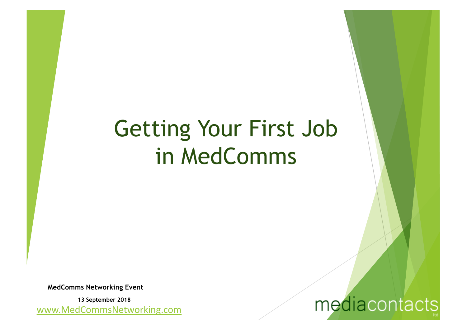# Getting Your First Job in MedComms

**MedComms Networking Event** 

www.MedCommsNetworking.com **13 September 2018**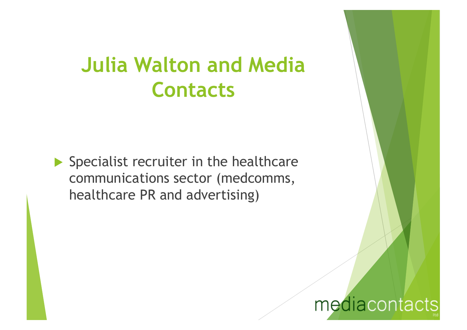#### **Julia Walton and Media Contacts**

 $\blacktriangleright$  Specialist recruiter in the healthcare communications sector (medcomms, healthcare PR and advertising)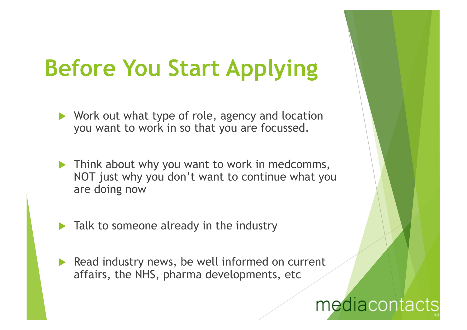# **Before You Start Applying**

- $\blacktriangleright$  Work out what type of role, agency and location you want to work in so that you are focussed.
- $\blacktriangleright$  Think about why you want to work in medcomms, NOT just why you don't want to continue what you are doing now
- $\blacktriangleright$  Talk to someone already in the industry
- $\blacktriangleright$  Read industry news, be well informed on current affairs, the NHS, pharma developments, etc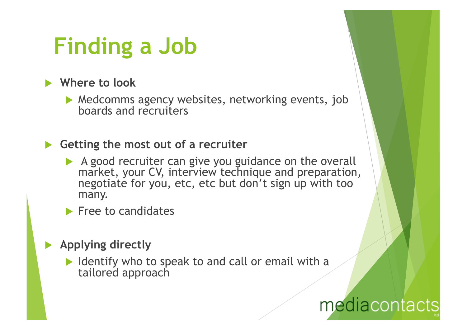# **Finding a Job**

**Number 20 Year 20 Year 20 Year 20 Year 20 Year 20 Year 20 Year 20 Year 20 Year 20 Year 20 Year 20 Year 20 Year 20 Year 20 Year 20 Year 20 Year 20 Year 20 Year 20 Year 20 Year 20 Year 20 Year 20 Year 20 Year 20 Year 20 Yea** 

 $\blacktriangleright$  Medcomms agency websites, networking events, job boards and recruiters

#### ▶ Getting the most out of a recruiter

- $\blacktriangleright$  A good recruiter can give you guidance on the overall market, your CV, interview technique and preparation, negotiate for you, etc, etc but don't sign up with too many.
- $\blacktriangleright$  Free to candidates
- **Applying directly** 
	- I Identify who to speak to and call or email with a tailored approach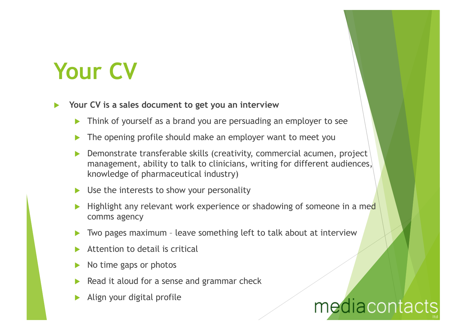# **Your CV**

- Your CV is a sales document to get you an interview
	- Think of yourself as a brand you are persuading an employer to see
	- The opening profile should make an employer want to meet you
	- Demonstrate transferable skills (creativity, commercial acumen, project management, ability to talk to clinicians, writing for different audiences, knowledge of pharmaceutical industry)
	- Use the interests to show your personality
	- Highlight any relevant work experience or shadowing of someone in a med comms agency
	- Two pages maximum leave something left to talk about at interview
	- Attention to detail is critical
	- No time gaps or photos
	- Read it aloud for a sense and grammar check
	- Align your digital profile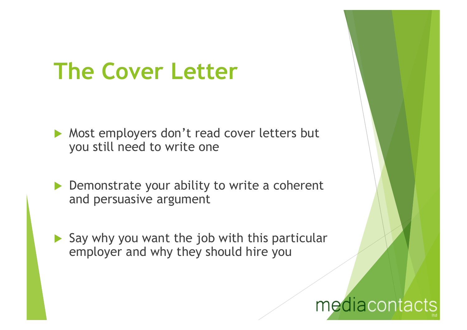# **The Cover Letter**

- $\blacktriangleright$  Most employers don't read cover letters but you still need to write one
- $\triangleright$  Demonstrate your ability to write a coherent and persuasive argument
- $\blacktriangleright$  Say why you want the job with this particular employer and why they should hire you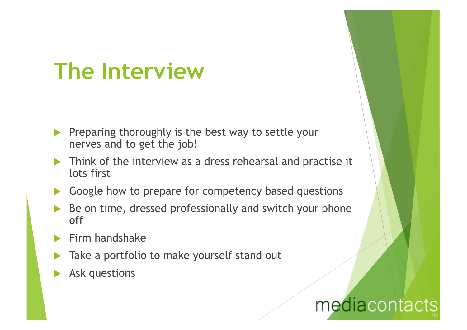# **The Interview**

- Preparing thoroughly is the best way to settle your nerves and to get the job!
- Think of the interview as a dress rehearsal and practise it lots first
- $\blacktriangleright$  Google how to prepare for competency based questions
- Be on time, dressed professionally and switch your phone off
- Firm handshake
- Take a portfolio to make yourself stand out
- Ask questions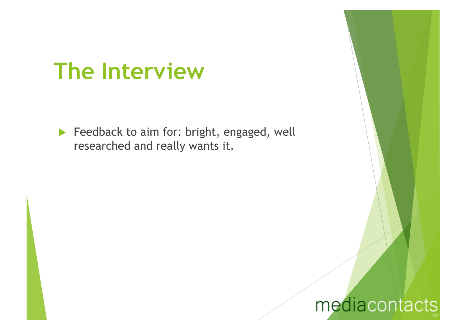### **The Interview**

 $\blacktriangleright$  Feedback to aim for: bright, engaged, well researched and really wants it.

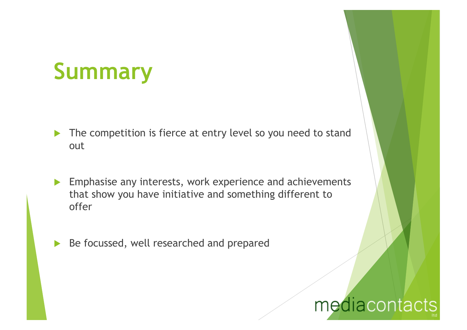# **Summary**

- $\blacktriangleright$  The competition is fierce at entry level so you need to stand out
- $\blacktriangleright$  Emphasise any interests, work experience and achievements that show you have initiative and something different to offer
- Be focussed, well researched and prepared